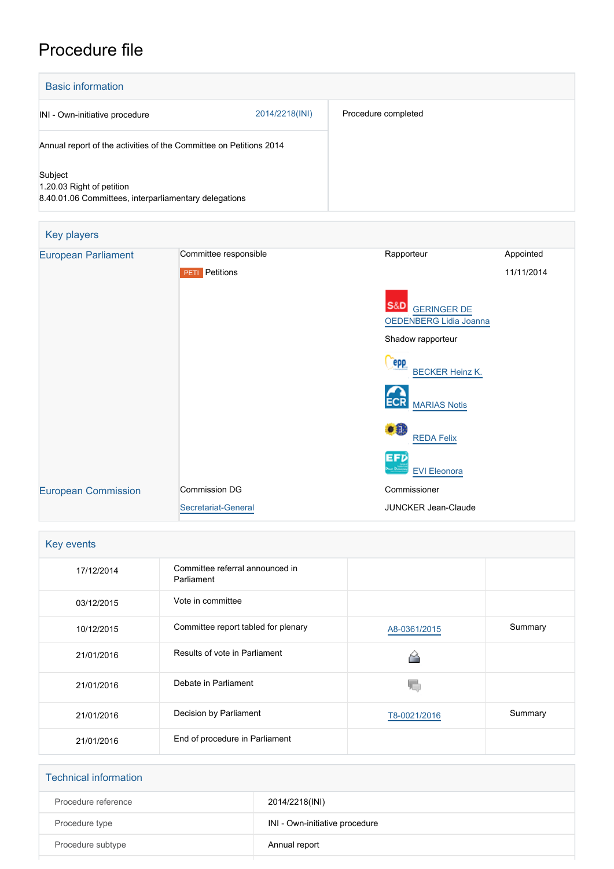## Procedure file

| <b>Basic information</b>                                                                      |                |                     |
|-----------------------------------------------------------------------------------------------|----------------|---------------------|
| INI - Own-initiative procedure                                                                | 2014/2218(INI) | Procedure completed |
| Annual report of the activities of the Committee on Petitions 2014                            |                |                     |
| Subject<br>1.20.03 Right of petition<br>8.40.01.06 Committees, interparliamentary delegations |                |                     |

| Key players                |                       |                                                                |            |
|----------------------------|-----------------------|----------------------------------------------------------------|------------|
| <b>European Parliament</b> | Committee responsible | Rapporteur                                                     | Appointed  |
|                            | <b>PETI</b> Petitions |                                                                | 11/11/2014 |
|                            |                       | <b>S&amp;D</b><br><b>GERINGER DE</b><br>OEDENBERG Lidia Joanna |            |
|                            |                       | Shadow rapporteur                                              |            |
|                            |                       | epp<br><b>BECKER Heinz K.</b>                                  |            |
|                            |                       | <b>ECR</b><br><b>MARIAS Notis</b>                              |            |
|                            |                       | $\bullet$ <sup>1</sup><br><b>REDA Felix</b>                    |            |
|                            |                       | <b>EFD</b><br><b>EVI Eleonora</b>                              |            |
| <b>European Commission</b> | <b>Commission DG</b>  | Commissioner                                                   |            |
|                            | Secretariat-General   | <b>JUNCKER Jean-Claude</b>                                     |            |

| Key events |                                               |              |         |
|------------|-----------------------------------------------|--------------|---------|
| 17/12/2014 | Committee referral announced in<br>Parliament |              |         |
| 03/12/2015 | Vote in committee                             |              |         |
| 10/12/2015 | Committee report tabled for plenary           | A8-0361/2015 | Summary |
| 21/01/2016 | Results of vote in Parliament                 |              |         |
| 21/01/2016 | Debate in Parliament                          |              |         |
| 21/01/2016 | Decision by Parliament                        | T8-0021/2016 | Summary |
| 21/01/2016 | End of procedure in Parliament                |              |         |

| <b>Technical information</b> |                                |
|------------------------------|--------------------------------|
| Procedure reference          | 2014/2218(INI)                 |
| Procedure type               | INI - Own-initiative procedure |
| Procedure subtype            | Annual report                  |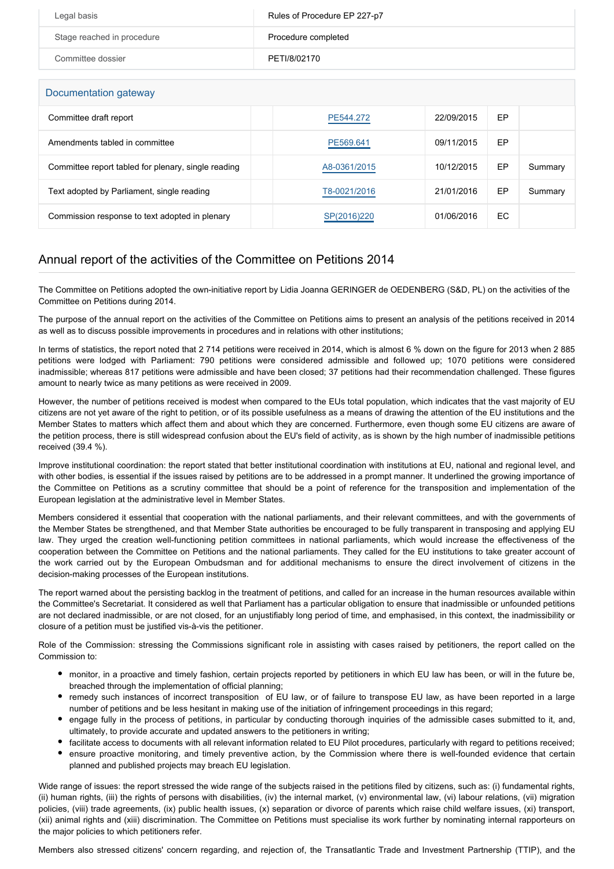| Legal basis                | Rules of Procedure EP 227-p7 |
|----------------------------|------------------------------|
| Stage reached in procedure | Procedure completed          |
| Committee dossier          | PETI/8/02170                 |

Documentation gateway

| <b>Boodinghandi</b> galcway                         |              |            |    |         |
|-----------------------------------------------------|--------------|------------|----|---------|
| Committee draft report                              | PE544.272    | 22/09/2015 | EP |         |
| Amendments tabled in committee                      | PE569.641    | 09/11/2015 | EP |         |
| Committee report tabled for plenary, single reading | A8-0361/2015 | 10/12/2015 | EP | Summary |
| Text adopted by Parliament, single reading          | T8-0021/2016 | 21/01/2016 | EP | Summary |
| Commission response to text adopted in plenary      | SP(2016)220  | 01/06/2016 | EC |         |

## Annual report of the activities of the Committee on Petitions 2014

The Committee on Petitions adopted the own-initiative report by Lidia Joanna GERINGER de OEDENBERG (S&D, PL) on the activities of the Committee on Petitions during 2014.

The purpose of the annual report on the activities of the Committee on Petitions aims to present an analysis of the petitions received in 2014 as well as to discuss possible improvements in procedures and in relations with other institutions;

In terms of statistics, the report noted that 2 714 petitions were received in 2014, which is almost 6 % down on the figure for 2013 when 2 885 petitions were lodged with Parliament: 790 petitions were considered admissible and followed up; 1070 petitions were considered inadmissible; whereas 817 petitions were admissible and have been closed; 37 petitions had their recommendation challenged. These figures amount to nearly twice as many petitions as were received in 2009.

However, the number of petitions received is modest when compared to the EUs total population, which indicates that the vast majority of EU citizens are not yet aware of the right to petition, or of its possible usefulness as a means of drawing the attention of the EU institutions and the Member States to matters which affect them and about which they are concerned. Furthermore, even though some EU citizens are aware of the petition process, there is still widespread confusion about the EU's field of activity, as is shown by the high number of inadmissible petitions received (39.4 %).

Improve institutional coordination: the report stated that better institutional coordination with institutions at EU, national and regional level, and with other bodies, is essential if the issues raised by petitions are to be addressed in a prompt manner. It underlined the growing importance of the Committee on Petitions as a scrutiny committee that should be a point of reference for the transposition and implementation of the European legislation at the administrative level in Member States.

Members considered it essential that cooperation with the national parliaments, and their relevant committees, and with the governments of the Member States be strengthened, and that Member State authorities be encouraged to be fully transparent in transposing and applying EU law. They urged the creation well-functioning petition committees in national parliaments, which would increase the effectiveness of the cooperation between the Committee on Petitions and the national parliaments. They called for the EU institutions to take greater account of the work carried out by the European Ombudsman and for additional mechanisms to ensure the direct involvement of citizens in the decision-making processes of the European institutions.

The report warned about the persisting backlog in the treatment of petitions, and called for an increase in the human resources available within the Committee's Secretariat. It considered as well that Parliament has a particular obligation to ensure that inadmissible or unfounded petitions are not declared inadmissible, or are not closed, for an unjustifiably long period of time, and emphasised, in this context, the inadmissibility or closure of a petition must be justified vis-à-vis the petitioner.

Role of the Commission: stressing the Commissions significant role in assisting with cases raised by petitioners, the report called on the Commission to:

- monitor, in a proactive and timely fashion, certain projects reported by petitioners in which EU law has been, or will in the future be, breached through the implementation of official planning;
- remedy such instances of incorrect transposition of EU law, or of failure to transpose EU law, as have been reported in a large number of petitions and be less hesitant in making use of the initiation of infringement proceedings in this regard;
- engage fully in the process of petitions, in particular by conducting thorough inquiries of the admissible cases submitted to it, and, ultimately, to provide accurate and updated answers to the petitioners in writing;
- facilitate access to documents with all relevant information related to EU Pilot procedures, particularly with regard to petitions received;
- ensure proactive monitoring, and timely preventive action, by the Commission where there is well-founded evidence that certain planned and published projects may breach EU legislation.

Wide range of issues: the report stressed the wide range of the subjects raised in the petitions filed by citizens, such as: (i) fundamental rights, (ii) human rights, (iii) the rights of persons with disabilities, (iv) the internal market, (v) environmental law, (vi) labour relations, (vii) migration policies, (viii) trade agreements, (ix) public health issues, (x) separation or divorce of parents which raise child welfare issues, (xi) transport, (xii) animal rights and (xiii) discrimination. The Committee on Petitions must specialise its work further by nominating internal rapporteurs on the major policies to which petitioners refer.

Members also stressed citizens' concern regarding, and rejection of, the Transatlantic Trade and Investment Partnership (TTIP), and the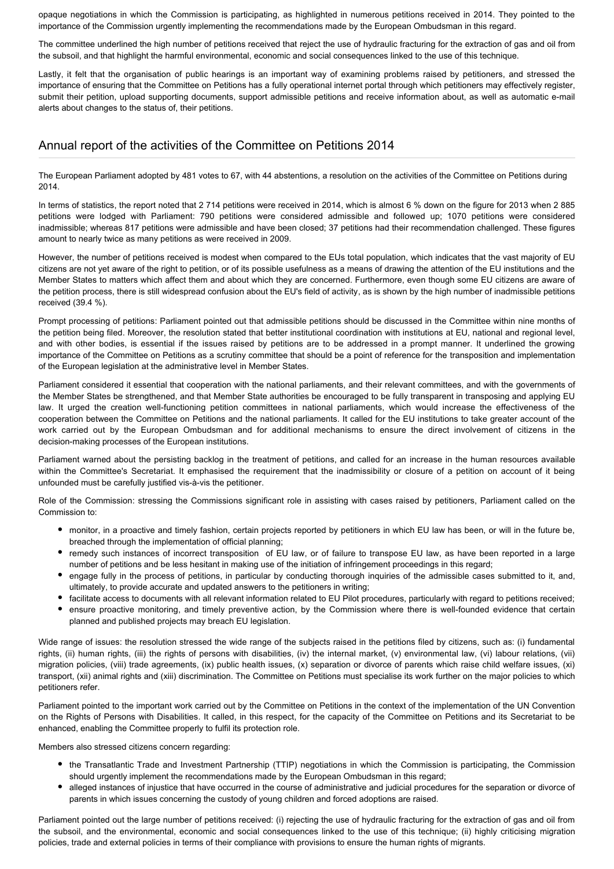opaque negotiations in which the Commission is participating, as highlighted in numerous petitions received in 2014. They pointed to the importance of the Commission urgently implementing the recommendations made by the European Ombudsman in this regard.

The committee underlined the high number of petitions received that reject the use of hydraulic fracturing for the extraction of gas and oil from the subsoil, and that highlight the harmful environmental, economic and social consequences linked to the use of this technique.

Lastly, it felt that the organisation of public hearings is an important way of examining problems raised by petitioners, and stressed the importance of ensuring that the Committee on Petitions has a fully operational internet portal through which petitioners may effectively register, submit their petition, upload supporting documents, support admissible petitions and receive information about, as well as automatic e-mail alerts about changes to the status of, their petitions.

## Annual report of the activities of the Committee on Petitions 2014

The European Parliament adopted by 481 votes to 67, with 44 abstentions, a resolution on the activities of the Committee on Petitions during 2014.

In terms of statistics, the report noted that 2 714 petitions were received in 2014, which is almost 6 % down on the figure for 2013 when 2 885 petitions were lodged with Parliament: 790 petitions were considered admissible and followed up; 1070 petitions were considered inadmissible; whereas 817 petitions were admissible and have been closed; 37 petitions had their recommendation challenged. These figures amount to nearly twice as many petitions as were received in 2009.

However, the number of petitions received is modest when compared to the EUs total population, which indicates that the vast majority of EU citizens are not yet aware of the right to petition, or of its possible usefulness as a means of drawing the attention of the EU institutions and the Member States to matters which affect them and about which they are concerned. Furthermore, even though some EU citizens are aware of the petition process, there is still widespread confusion about the EU's field of activity, as is shown by the high number of inadmissible petitions received (39.4 %).

Prompt processing of petitions: Parliament pointed out that admissible petitions should be discussed in the Committee within nine months of the petition being filed. Moreover, the resolution stated that better institutional coordination with institutions at EU, national and regional level, and with other bodies, is essential if the issues raised by petitions are to be addressed in a prompt manner. It underlined the growing importance of the Committee on Petitions as a scrutiny committee that should be a point of reference for the transposition and implementation of the European legislation at the administrative level in Member States.

Parliament considered it essential that cooperation with the national parliaments, and their relevant committees, and with the governments of the Member States be strengthened, and that Member State authorities be encouraged to be fully transparent in transposing and applying EU law. It urged the creation well-functioning petition committees in national parliaments, which would increase the effectiveness of the cooperation between the Committee on Petitions and the national parliaments. It called for the EU institutions to take greater account of the work carried out by the European Ombudsman and for additional mechanisms to ensure the direct involvement of citizens in the decision-making processes of the European institutions.

Parliament warned about the persisting backlog in the treatment of petitions, and called for an increase in the human resources available within the Committee's Secretariat. It emphasised the requirement that the inadmissibility or closure of a petition on account of it being unfounded must be carefully justified vis-à-vis the petitioner.

Role of the Commission: stressing the Commissions significant role in assisting with cases raised by petitioners, Parliament called on the Commission to:

- monitor, in a proactive and timely fashion, certain projects reported by petitioners in which EU law has been, or will in the future be, breached through the implementation of official planning;
- remedy such instances of incorrect transposition of EU law, or of failure to transpose EU law, as have been reported in a large number of petitions and be less hesitant in making use of the initiation of infringement proceedings in this regard;
- engage fully in the process of petitions, in particular by conducting thorough inquiries of the admissible cases submitted to it, and, ultimately, to provide accurate and updated answers to the petitioners in writing;
- facilitate access to documents with all relevant information related to EU Pilot procedures, particularly with regard to petitions received;
- ensure proactive monitoring, and timely preventive action, by the Commission where there is well-founded evidence that certain planned and published projects may breach EU legislation.

Wide range of issues: the resolution stressed the wide range of the subjects raised in the petitions filed by citizens, such as: (i) fundamental rights, (ii) human rights, (iii) the rights of persons with disabilities, (iv) the internal market, (v) environmental law, (vi) labour relations, (vii) migration policies, (viii) trade agreements, (ix) public health issues, (x) separation or divorce of parents which raise child welfare issues, (xi) transport, (xii) animal rights and (xiii) discrimination. The Committee on Petitions must specialise its work further on the major policies to which petitioners refer.

Parliament pointed to the important work carried out by the Committee on Petitions in the context of the implementation of the UN Convention on the Rights of Persons with Disabilities. It called, in this respect, for the capacity of the Committee on Petitions and its Secretariat to be enhanced, enabling the Committee properly to fulfil its protection role.

Members also stressed citizens concern regarding:

- the Transatlantic Trade and Investment Partnership (TTIP) negotiations in which the Commission is participating, the Commission should urgently implement the recommendations made by the European Ombudsman in this regard;
- alleged instances of injustice that have occurred in the course of administrative and judicial procedures for the separation or divorce of parents in which issues concerning the custody of young children and forced adoptions are raised.

Parliament pointed out the large number of petitions received: (i) rejecting the use of hydraulic fracturing for the extraction of gas and oil from the subsoil, and the environmental, economic and social consequences linked to the use of this technique; (ii) highly criticising migration policies, trade and external policies in terms of their compliance with provisions to ensure the human rights of migrants.